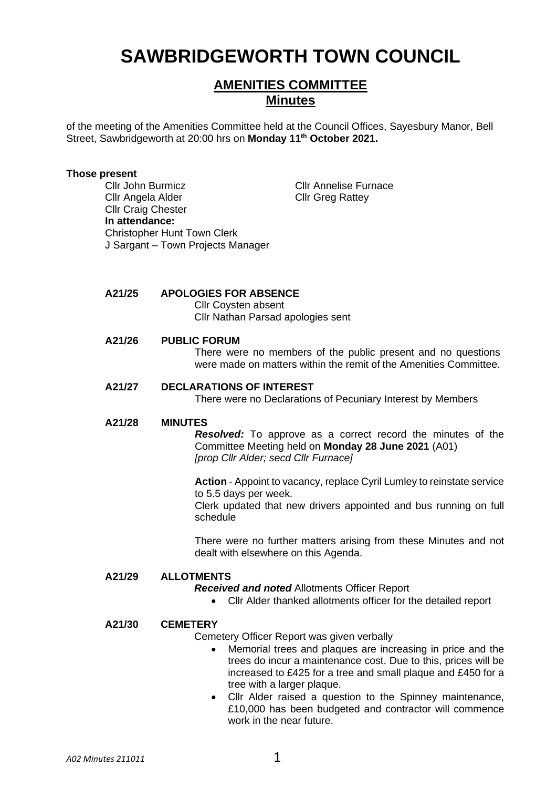# **SAWBRIDGEWORTH TOWN COUNCIL**

# **AMENITIES COMMITTEE Minutes**

of the meeting of the Amenities Committee held at the Council Offices, Sayesbury Manor, Bell Street, Sawbridgeworth at 20:00 hrs on **Monday 11th October 2021.**

#### **Those present**

Cllr John Burmicz Cllr Annelise Furnace Cllr Angela Alder Cllr Greg Rattey Cllr Craig Chester **In attendance:** Christopher Hunt Town Clerk J Sargant – Town Projects Manager

# **A21/25 APOLOGIES FOR ABSENCE**

Cllr Coysten absent Cllr Nathan Parsad apologies sent

# **A21/26 PUBLIC FORUM**

There were no members of the public present and no questions were made on matters within the remit of the Amenities Committee.

#### **A21/27 DECLARATIONS OF INTEREST**

There were no Declarations of Pecuniary Interest by Members

#### **A21/28 MINUTES**

*Resolved:* To approve as a correct record the minutes of the Committee Meeting held on **Monday 28 June 2021** (A01) *[prop Cllr Alder; secd Cllr Furnace]*

**Action** - Appoint to vacancy, replace Cyril Lumley to reinstate service to 5.5 days per week. Clerk updated that new drivers appointed and bus running on full schedule

There were no further matters arising from these Minutes and not dealt with elsewhere on this Agenda.

#### **A21/29 ALLOTMENTS**

*Received and noted* Allotments Officer Report

• Cllr Alder thanked allotments officer for the detailed report

## **A21/30 CEMETERY**

- Cemetery Officer Report was given verbally
	- Memorial trees and plaques are increasing in price and the trees do incur a maintenance cost. Due to this, prices will be increased to £425 for a tree and small plaque and £450 for a tree with a larger plaque.
	- Cllr Alder raised a question to the Spinney maintenance, £10,000 has been budgeted and contractor will commence work in the near future.